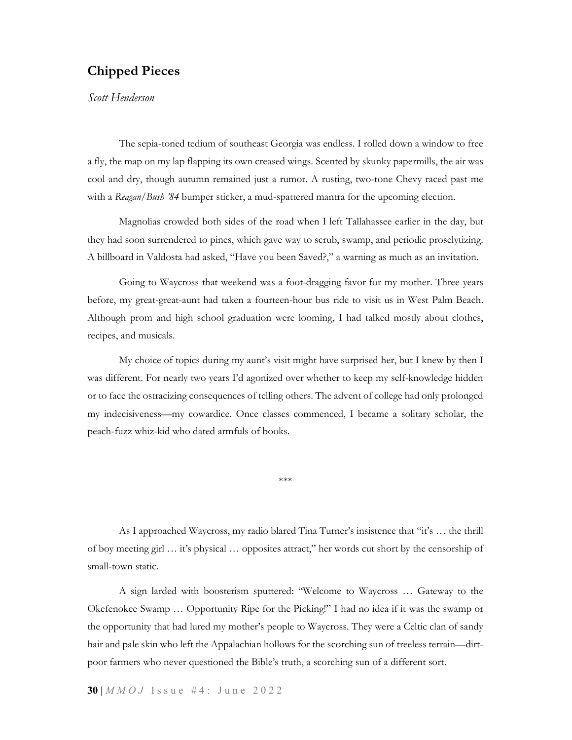## Chipped Pieces

Scott Henderson

The sepia-toned tedium of southeast Georgia was endless. I rolled down a window to free a fly, the map on my lap flapping its own creased wings. Scented by skunky papermills, the air was cool and dry, though autumn remained just a rumor. A rusting, two-tone Chevy raced past me with a Reagan/Bush '84 bumper sticker, a mud-spattered mantra for the upcoming election.

Magnolias crowded both sides of the road when I left Tallahassee earlier in the day, but they had soon surrendered to pines, which gave way to scrub, swamp, and periodic proselytizing. A billboard in Valdosta had asked, "Have you been Saved?," a warning as much as an invitation.

Going to Waycross that weekend was a foot-dragging favor for my mother. Three years before, my great-great-aunt had taken a fourteen-hour bus ride to visit us in West Palm Beach. Although prom and high school graduation were looming, I had talked mostly about clothes, recipes, and musicals.

My choice of topics during my aunt's visit might have surprised her, but I knew by then I was different. For nearly two years I'd agonized over whether to keep my self-knowledge hidden or to face the ostracizing consequences of telling others. The advent of college had only prolonged my indecisiveness—my cowardice. Once classes commenced, I became a solitary scholar, the peach-fuzz whiz-kid who dated armfuls of books.

\*\*\*

As I approached Waycross, my radio blared Tina Turner's insistence that "it's … the thrill of boy meeting girl … it's physical … opposites attract," her words cut short by the censorship of small-town static.

A sign larded with boosterism sputtered: "Welcome to Waycross … Gateway to the Okefenokee Swamp … Opportunity Ripe for the Picking!" I had no idea if it was the swamp or the opportunity that had lured my mother's people to Waycross. They were a Celtic clan of sandy hair and pale skin who left the Appalachian hollows for the scorching sun of treeless terrain—dirtpoor farmers who never questioned the Bible's truth, a scorching sun of a different sort.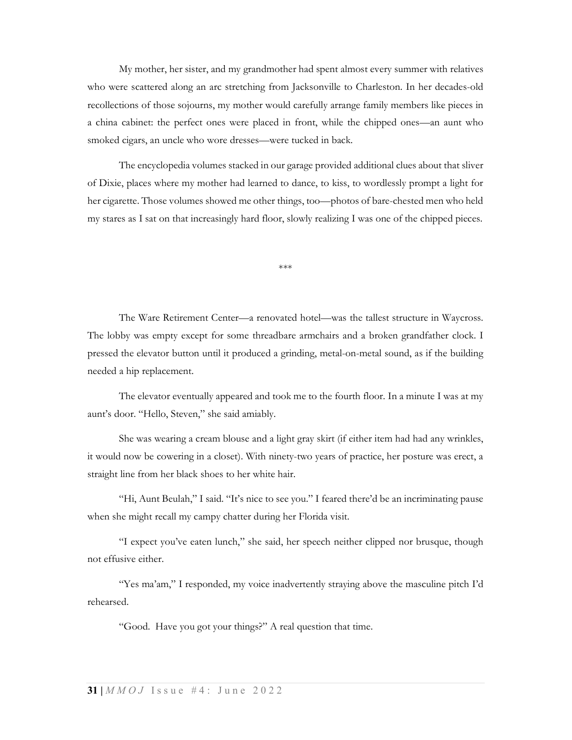My mother, her sister, and my grandmother had spent almost every summer with relatives who were scattered along an arc stretching from Jacksonville to Charleston. In her decades-old recollections of those sojourns, my mother would carefully arrange family members like pieces in a china cabinet: the perfect ones were placed in front, while the chipped ones—an aunt who smoked cigars, an uncle who wore dresses—were tucked in back.

The encyclopedia volumes stacked in our garage provided additional clues about that sliver of Dixie, places where my mother had learned to dance, to kiss, to wordlessly prompt a light for her cigarette. Those volumes showed me other things, too—photos of bare-chested men who held my stares as I sat on that increasingly hard floor, slowly realizing I was one of the chipped pieces.

\*\*\*

The Ware Retirement Center—a renovated hotel—was the tallest structure in Waycross. The lobby was empty except for some threadbare armchairs and a broken grandfather clock. I pressed the elevator button until it produced a grinding, metal-on-metal sound, as if the building needed a hip replacement.

The elevator eventually appeared and took me to the fourth floor. In a minute I was at my aunt's door. "Hello, Steven," she said amiably.

She was wearing a cream blouse and a light gray skirt (if either item had had any wrinkles, it would now be cowering in a closet). With ninety-two years of practice, her posture was erect, a straight line from her black shoes to her white hair.

"Hi, Aunt Beulah," I said. "It's nice to see you." I feared there'd be an incriminating pause when she might recall my campy chatter during her Florida visit.

"I expect you've eaten lunch," she said, her speech neither clipped nor brusque, though not effusive either.

"Yes ma'am," I responded, my voice inadvertently straying above the masculine pitch I'd rehearsed.

"Good. Have you got your things?" A real question that time.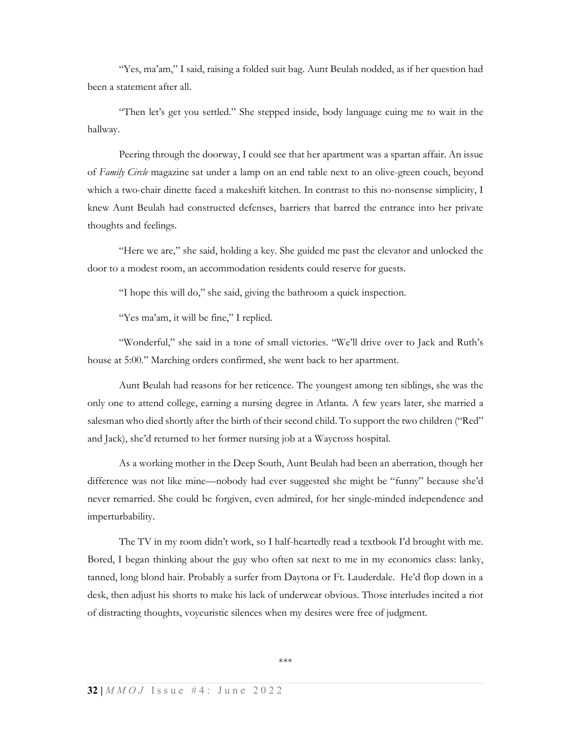"Yes, ma'am," I said, raising a folded suit bag. Aunt Beulah nodded, as if her question had been a statement after all.

"Then let's get you settled." She stepped inside, body language cuing me to wait in the hallway.

Peering through the doorway, I could see that her apartment was a spartan affair. An issue of Family Circle magazine sat under a lamp on an end table next to an olive-green couch, beyond which a two-chair dinette faced a makeshift kitchen. In contrast to this no-nonsense simplicity, I knew Aunt Beulah had constructed defenses, barriers that barred the entrance into her private thoughts and feelings.

"Here we are," she said, holding a key. She guided me past the elevator and unlocked the door to a modest room, an accommodation residents could reserve for guests.

"I hope this will do," she said, giving the bathroom a quick inspection.

"Yes ma'am, it will be fine," I replied.

"Wonderful," she said in a tone of small victories. "We'll drive over to Jack and Ruth's house at 5:00." Marching orders confirmed, she went back to her apartment.

Aunt Beulah had reasons for her reticence. The youngest among ten siblings, she was the only one to attend college, earning a nursing degree in Atlanta. A few years later, she married a salesman who died shortly after the birth of their second child. To support the two children ("Red" and Jack), she'd returned to her former nursing job at a Waycross hospital.

As a working mother in the Deep South, Aunt Beulah had been an aberration, though her difference was not like mine—nobody had ever suggested she might be "funny" because she'd never remarried. She could be forgiven, even admired, for her single-minded independence and imperturbability.

The TV in my room didn't work, so I half-heartedly read a textbook I'd brought with me. Bored, I began thinking about the guy who often sat next to me in my economics class: lanky, tanned, long blond hair. Probably a surfer from Daytona or Ft. Lauderdale. He'd flop down in a desk, then adjust his shorts to make his lack of underwear obvious. Those interludes incited a riot of distracting thoughts, voyeuristic silences when my desires were free of judgment.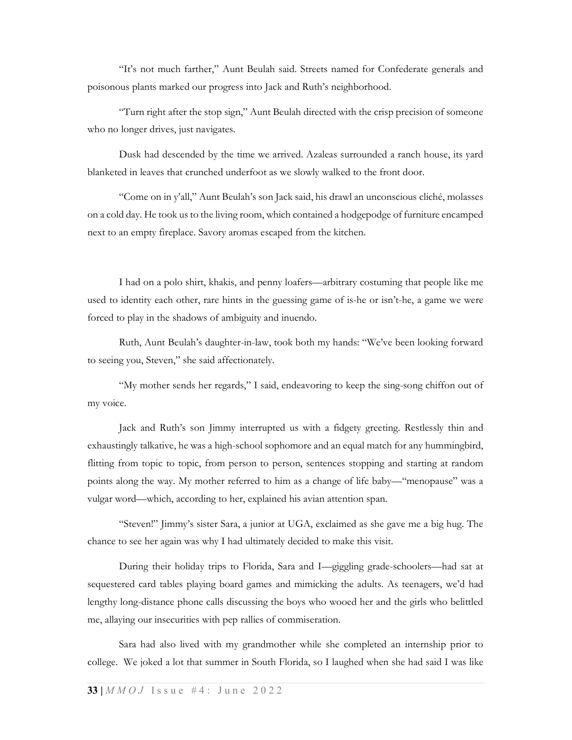"It's not much farther," Aunt Beulah said. Streets named for Confederate generals and poisonous plants marked our progress into Jack and Ruth's neighborhood.

"Turn right after the stop sign," Aunt Beulah directed with the crisp precision of someone who no longer drives, just navigates.

Dusk had descended by the time we arrived. Azaleas surrounded a ranch house, its yard blanketed in leaves that crunched underfoot as we slowly walked to the front door.

"Come on in y'all," Aunt Beulah's son Jack said, his drawl an unconscious cliché, molasses on a cold day. He took us to the living room, which contained a hodgepodge of furniture encamped next to an empty fireplace. Savory aromas escaped from the kitchen.

I had on a polo shirt, khakis, and penny loafers—arbitrary costuming that people like me used to identity each other, rare hints in the guessing game of is-he or isn't-he, a game we were forced to play in the shadows of ambiguity and inuendo.

Ruth, Aunt Beulah's daughter-in-law, took both my hands: "We've been looking forward to seeing you, Steven," she said affectionately.

"My mother sends her regards," I said, endeavoring to keep the sing-song chiffon out of my voice.

Jack and Ruth's son Jimmy interrupted us with a fidgety greeting. Restlessly thin and exhaustingly talkative, he was a high-school sophomore and an equal match for any hummingbird, flitting from topic to topic, from person to person, sentences stopping and starting at random points along the way. My mother referred to him as a change of life baby—"menopause" was a vulgar word—which, according to her, explained his avian attention span.

"Steven!" Jimmy's sister Sara, a junior at UGA, exclaimed as she gave me a big hug. The chance to see her again was why I had ultimately decided to make this visit.

During their holiday trips to Florida, Sara and I—giggling grade-schoolers—had sat at sequestered card tables playing board games and mimicking the adults. As teenagers, we'd had lengthy long-distance phone calls discussing the boys who wooed her and the girls who belittled me, allaying our insecurities with pep rallies of commiseration.

Sara had also lived with my grandmother while she completed an internship prior to college. We joked a lot that summer in South Florida, so I laughed when she had said I was like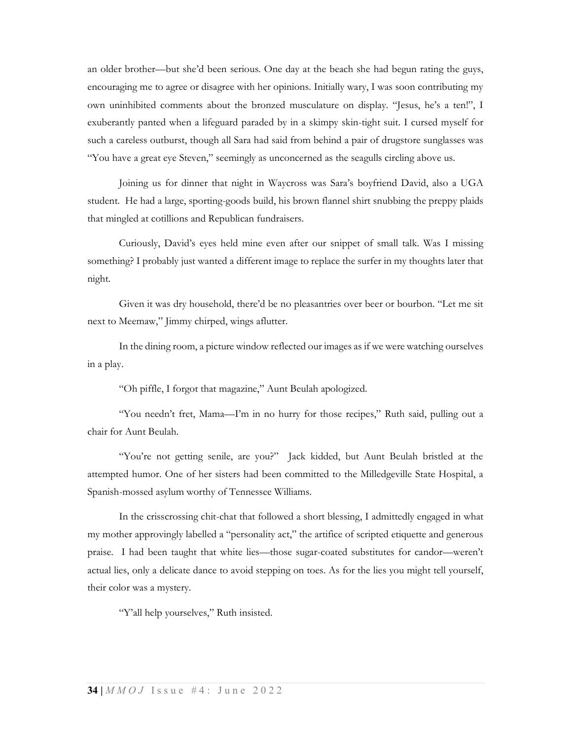an older brother—but she'd been serious. One day at the beach she had begun rating the guys, encouraging me to agree or disagree with her opinions. Initially wary, I was soon contributing my own uninhibited comments about the bronzed musculature on display. "Jesus, he's a ten!", I exuberantly panted when a lifeguard paraded by in a skimpy skin-tight suit. I cursed myself for such a careless outburst, though all Sara had said from behind a pair of drugstore sunglasses was "You have a great eye Steven," seemingly as unconcerned as the seagulls circling above us.

Joining us for dinner that night in Waycross was Sara's boyfriend David, also a UGA student. He had a large, sporting-goods build, his brown flannel shirt snubbing the preppy plaids that mingled at cotillions and Republican fundraisers.

Curiously, David's eyes held mine even after our snippet of small talk. Was I missing something? I probably just wanted a different image to replace the surfer in my thoughts later that night.

Given it was dry household, there'd be no pleasantries over beer or bourbon. "Let me sit next to Meemaw," Jimmy chirped, wings aflutter.

In the dining room, a picture window reflected our images as if we were watching ourselves in a play.

"Oh piffle, I forgot that magazine," Aunt Beulah apologized.

"You needn't fret, Mama—I'm in no hurry for those recipes," Ruth said, pulling out a chair for Aunt Beulah.

"You're not getting senile, are you?" Jack kidded, but Aunt Beulah bristled at the attempted humor. One of her sisters had been committed to the Milledgeville State Hospital, a Spanish-mossed asylum worthy of Tennessee Williams.

In the crisscrossing chit-chat that followed a short blessing, I admittedly engaged in what my mother approvingly labelled a "personality act," the artifice of scripted etiquette and generous praise. I had been taught that white lies—those sugar-coated substitutes for candor—weren't actual lies, only a delicate dance to avoid stepping on toes. As for the lies you might tell yourself, their color was a mystery.

"Y'all help yourselves," Ruth insisted.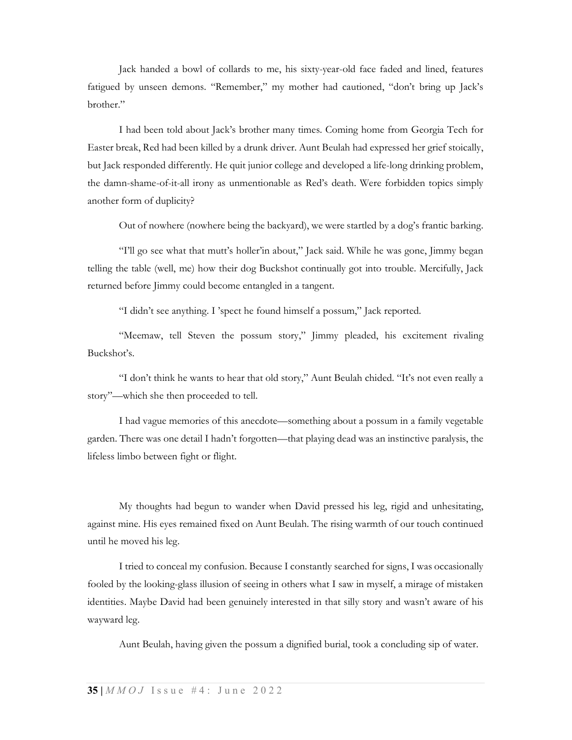Jack handed a bowl of collards to me, his sixty-year-old face faded and lined, features fatigued by unseen demons. "Remember," my mother had cautioned, "don't bring up Jack's brother."

I had been told about Jack's brother many times. Coming home from Georgia Tech for Easter break, Red had been killed by a drunk driver. Aunt Beulah had expressed her grief stoically, but Jack responded differently. He quit junior college and developed a life-long drinking problem, the damn-shame-of-it-all irony as unmentionable as Red's death. Were forbidden topics simply another form of duplicity?

Out of nowhere (nowhere being the backyard), we were startled by a dog's frantic barking.

"I'll go see what that mutt's holler'in about," Jack said. While he was gone, Jimmy began telling the table (well, me) how their dog Buckshot continually got into trouble. Mercifully, Jack returned before Jimmy could become entangled in a tangent.

"I didn't see anything. I 'spect he found himself a possum," Jack reported.

"Meemaw, tell Steven the possum story," Jimmy pleaded, his excitement rivaling Buckshot's.

"I don't think he wants to hear that old story," Aunt Beulah chided. "It's not even really a story"—which she then proceeded to tell.

I had vague memories of this anecdote—something about a possum in a family vegetable garden. There was one detail I hadn't forgotten—that playing dead was an instinctive paralysis, the lifeless limbo between fight or flight.

My thoughts had begun to wander when David pressed his leg, rigid and unhesitating, against mine. His eyes remained fixed on Aunt Beulah. The rising warmth of our touch continued until he moved his leg.

I tried to conceal my confusion. Because I constantly searched for signs, I was occasionally fooled by the looking-glass illusion of seeing in others what I saw in myself, a mirage of mistaken identities. Maybe David had been genuinely interested in that silly story and wasn't aware of his wayward leg.

Aunt Beulah, having given the possum a dignified burial, took a concluding sip of water.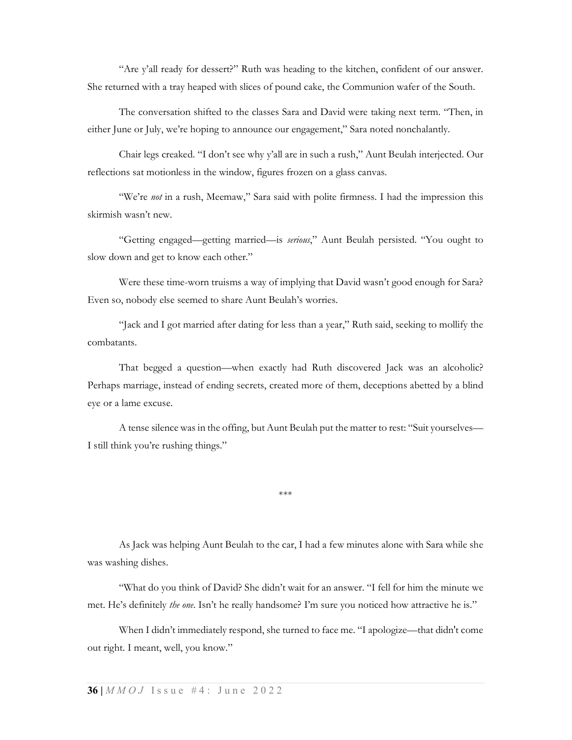"Are y'all ready for dessert?" Ruth was heading to the kitchen, confident of our answer. She returned with a tray heaped with slices of pound cake, the Communion wafer of the South.

The conversation shifted to the classes Sara and David were taking next term. "Then, in either June or July, we're hoping to announce our engagement," Sara noted nonchalantly.

Chair legs creaked. "I don't see why y'all are in such a rush," Aunt Beulah interjected. Our reflections sat motionless in the window, figures frozen on a glass canvas.

"We're not in a rush, Meemaw," Sara said with polite firmness. I had the impression this skirmish wasn't new.

"Getting engaged—getting married—is serious," Aunt Beulah persisted. "You ought to slow down and get to know each other."

Were these time-worn truisms a way of implying that David wasn't good enough for Sara? Even so, nobody else seemed to share Aunt Beulah's worries.

"Jack and I got married after dating for less than a year," Ruth said, seeking to mollify the combatants.

That begged a question—when exactly had Ruth discovered Jack was an alcoholic? Perhaps marriage, instead of ending secrets, created more of them, deceptions abetted by a blind eye or a lame excuse.

A tense silence was in the offing, but Aunt Beulah put the matter to rest: "Suit yourselves— I still think you're rushing things."

\*\*\*

As Jack was helping Aunt Beulah to the car, I had a few minutes alone with Sara while she was washing dishes.

"What do you think of David? She didn't wait for an answer. "I fell for him the minute we met. He's definitely the one. Isn't he really handsome? I'm sure you noticed how attractive he is."

When I didn't immediately respond, she turned to face me. "I apologize—that didn't come out right. I meant, well, you know."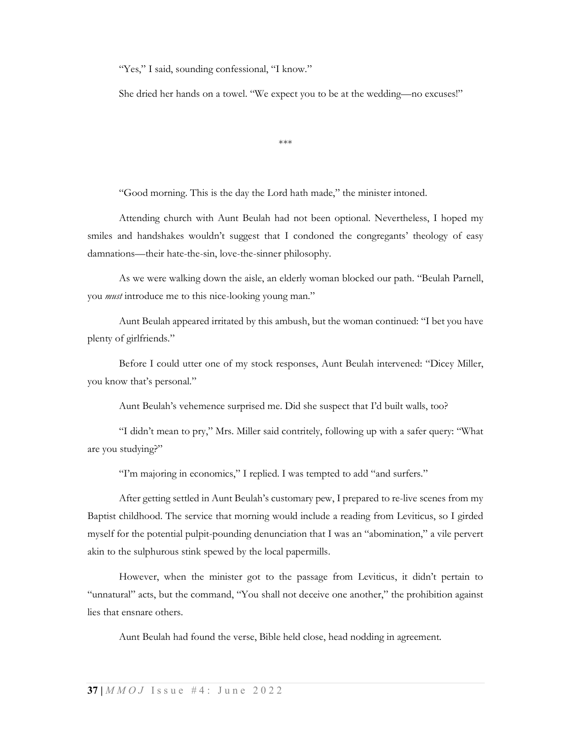"Yes," I said, sounding confessional, "I know."

She dried her hands on a towel. "We expect you to be at the wedding—no excuses!"

\*\*\*

"Good morning. This is the day the Lord hath made," the minister intoned.

Attending church with Aunt Beulah had not been optional. Nevertheless, I hoped my smiles and handshakes wouldn't suggest that I condoned the congregants' theology of easy damnations—their hate-the-sin, love-the-sinner philosophy.

As we were walking down the aisle, an elderly woman blocked our path. "Beulah Parnell, you *must* introduce me to this nice-looking young man."

Aunt Beulah appeared irritated by this ambush, but the woman continued: "I bet you have plenty of girlfriends."

Before I could utter one of my stock responses, Aunt Beulah intervened: "Dicey Miller, you know that's personal."

Aunt Beulah's vehemence surprised me. Did she suspect that I'd built walls, too?

"I didn't mean to pry," Mrs. Miller said contritely, following up with a safer query: "What are you studying?"

"I'm majoring in economics," I replied. I was tempted to add "and surfers."

After getting settled in Aunt Beulah's customary pew, I prepared to re-live scenes from my Baptist childhood. The service that morning would include a reading from Leviticus, so I girded myself for the potential pulpit-pounding denunciation that I was an "abomination," a vile pervert akin to the sulphurous stink spewed by the local papermills.

However, when the minister got to the passage from Leviticus, it didn't pertain to "unnatural" acts, but the command, "You shall not deceive one another," the prohibition against lies that ensnare others.

Aunt Beulah had found the verse, Bible held close, head nodding in agreement.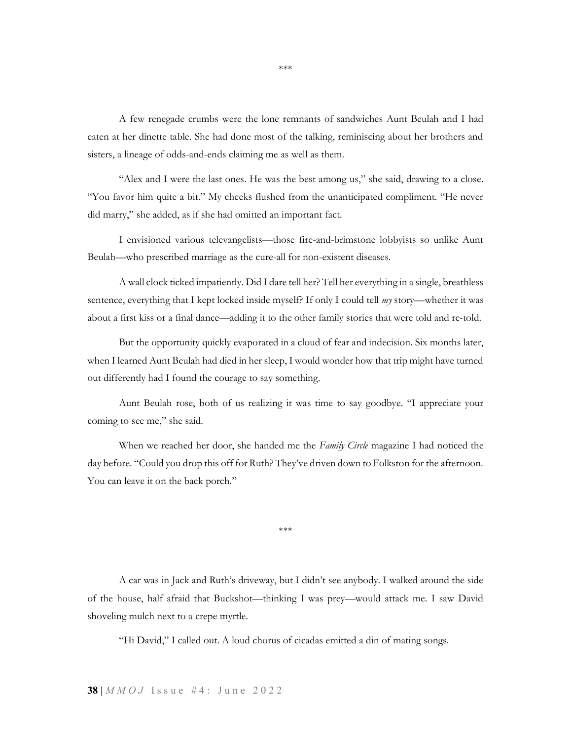A few renegade crumbs were the lone remnants of sandwiches Aunt Beulah and I had eaten at her dinette table. She had done most of the talking, reminiscing about her brothers and sisters, a lineage of odds-and-ends claiming me as well as them.

"Alex and I were the last ones. He was the best among us," she said, drawing to a close. "You favor him quite a bit." My cheeks flushed from the unanticipated compliment. "He never did marry," she added, as if she had omitted an important fact.

I envisioned various televangelists—those fire-and-brimstone lobbyists so unlike Aunt Beulah—who prescribed marriage as the cure-all for non-existent diseases.

A wall clock ticked impatiently. Did I dare tell her? Tell her everything in a single, breathless sentence, everything that I kept locked inside myself? If only I could tell *my* story—whether it was about a first kiss or a final dance—adding it to the other family stories that were told and re-told.

But the opportunity quickly evaporated in a cloud of fear and indecision. Six months later, when I learned Aunt Beulah had died in her sleep, I would wonder how that trip might have turned out differently had I found the courage to say something.

Aunt Beulah rose, both of us realizing it was time to say goodbye. "I appreciate your coming to see me," she said.

When we reached her door, she handed me the Family Circle magazine I had noticed the day before. "Could you drop this off for Ruth? They've driven down to Folkston for the afternoon. You can leave it on the back porch."

\*\*\*

A car was in Jack and Ruth's driveway, but I didn't see anybody. I walked around the side of the house, half afraid that Buckshot—thinking I was prey—would attack me. I saw David shoveling mulch next to a crepe myrtle.

"Hi David," I called out. A loud chorus of cicadas emitted a din of mating songs.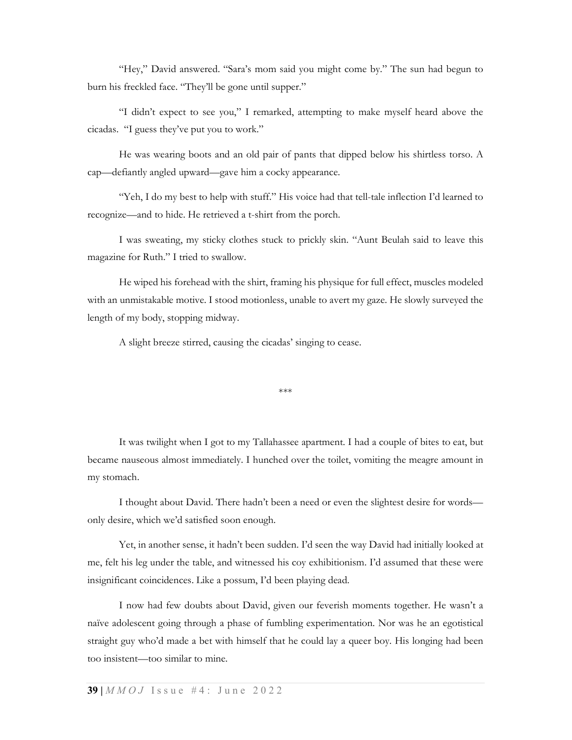"Hey," David answered. "Sara's mom said you might come by." The sun had begun to burn his freckled face. "They'll be gone until supper."

"I didn't expect to see you," I remarked, attempting to make myself heard above the cicadas. "I guess they've put you to work."

He was wearing boots and an old pair of pants that dipped below his shirtless torso. A cap—defiantly angled upward—gave him a cocky appearance.

"Yeh, I do my best to help with stuff." His voice had that tell-tale inflection I'd learned to recognize—and to hide. He retrieved a t-shirt from the porch.

I was sweating, my sticky clothes stuck to prickly skin. "Aunt Beulah said to leave this magazine for Ruth." I tried to swallow.

He wiped his forehead with the shirt, framing his physique for full effect, muscles modeled with an unmistakable motive. I stood motionless, unable to avert my gaze. He slowly surveyed the length of my body, stopping midway.

A slight breeze stirred, causing the cicadas' singing to cease.

```
***
```
It was twilight when I got to my Tallahassee apartment. I had a couple of bites to eat, but became nauseous almost immediately. I hunched over the toilet, vomiting the meagre amount in my stomach.

I thought about David. There hadn't been a need or even the slightest desire for words only desire, which we'd satisfied soon enough.

Yet, in another sense, it hadn't been sudden. I'd seen the way David had initially looked at me, felt his leg under the table, and witnessed his coy exhibitionism. I'd assumed that these were insignificant coincidences. Like a possum, I'd been playing dead.

I now had few doubts about David, given our feverish moments together. He wasn't a naïve adolescent going through a phase of fumbling experimentation. Nor was he an egotistical straight guy who'd made a bet with himself that he could lay a queer boy. His longing had been too insistent—too similar to mine.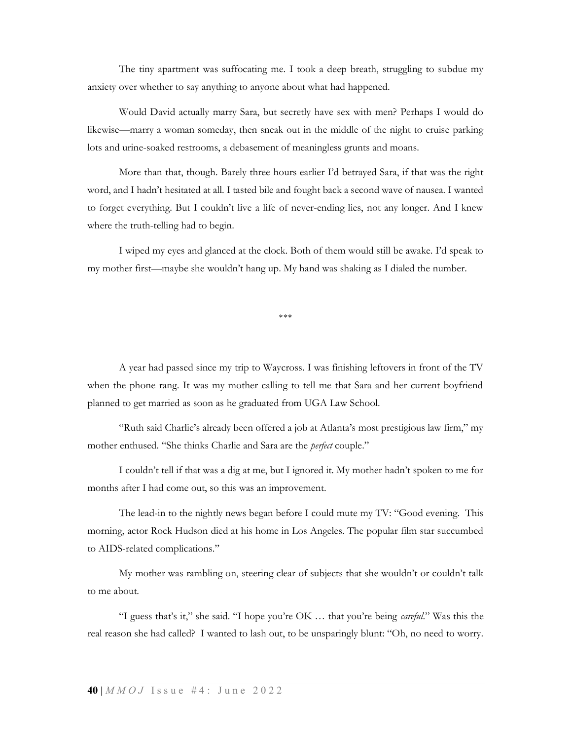The tiny apartment was suffocating me. I took a deep breath, struggling to subdue my anxiety over whether to say anything to anyone about what had happened.

Would David actually marry Sara, but secretly have sex with men? Perhaps I would do likewise—marry a woman someday, then sneak out in the middle of the night to cruise parking lots and urine-soaked restrooms, a debasement of meaningless grunts and moans.

More than that, though. Barely three hours earlier I'd betrayed Sara, if that was the right word, and I hadn't hesitated at all. I tasted bile and fought back a second wave of nausea. I wanted to forget everything. But I couldn't live a life of never-ending lies, not any longer. And I knew where the truth-telling had to begin.

I wiped my eyes and glanced at the clock. Both of them would still be awake. I'd speak to my mother first—maybe she wouldn't hang up. My hand was shaking as I dialed the number.

\*\*\*

A year had passed since my trip to Waycross. I was finishing leftovers in front of the TV when the phone rang. It was my mother calling to tell me that Sara and her current boyfriend planned to get married as soon as he graduated from UGA Law School.

"Ruth said Charlie's already been offered a job at Atlanta's most prestigious law firm," my mother enthused. "She thinks Charlie and Sara are the *perfect* couple."

I couldn't tell if that was a dig at me, but I ignored it. My mother hadn't spoken to me for months after I had come out, so this was an improvement.

The lead-in to the nightly news began before I could mute my TV: "Good evening. This morning, actor Rock Hudson died at his home in Los Angeles. The popular film star succumbed to AIDS-related complications."

My mother was rambling on, steering clear of subjects that she wouldn't or couldn't talk to me about.

"I guess that's it," she said. "I hope you're OK ... that you're being *careful.*" Was this the real reason she had called? I wanted to lash out, to be unsparingly blunt: "Oh, no need to worry.